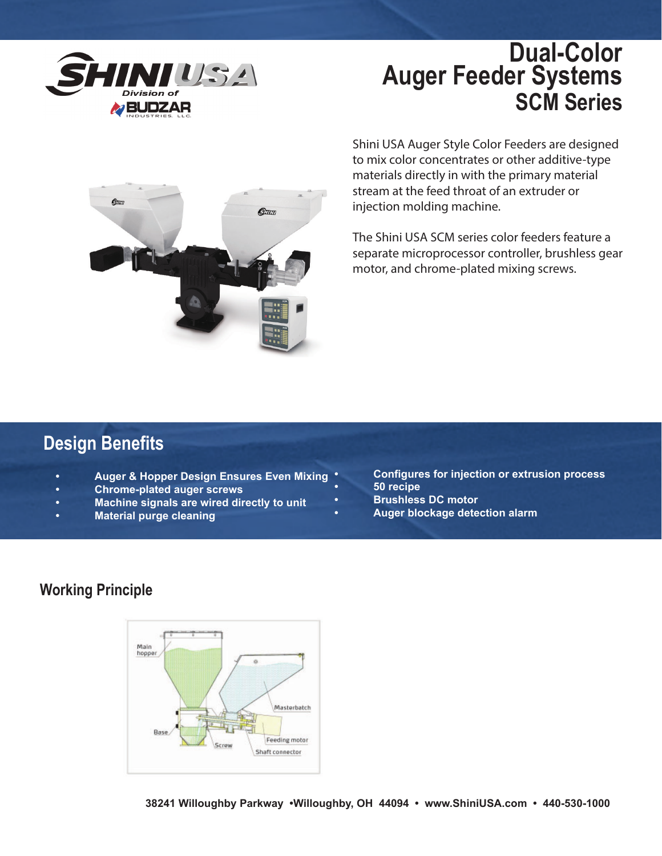

# **Dual-Color Auger Feeder Systems SCM Series**



Shini USA Auger Style Color Feeders are designed to mix color concentrates or other additive-type materials directly in with the primary material stream at the feed throat of an extruder or injection molding machine.

The Shini USA SCM series color feeders feature a separate microprocessor controller, brushless gear motor, and chrome-plated mixing screws.

### **Design Benefits**

- **Auger & Hopper Design Ensures Even Mixing**
- **Chrome-plated auger screws**
- **Machine signals are wired directly to unit**
- **Material purge cleaning**
- **Configures for injection or extrusion process**
- **50 recipe**
- **Brushless DC motor**
- **Auger blockage detection alarm**

#### **Working Principle**